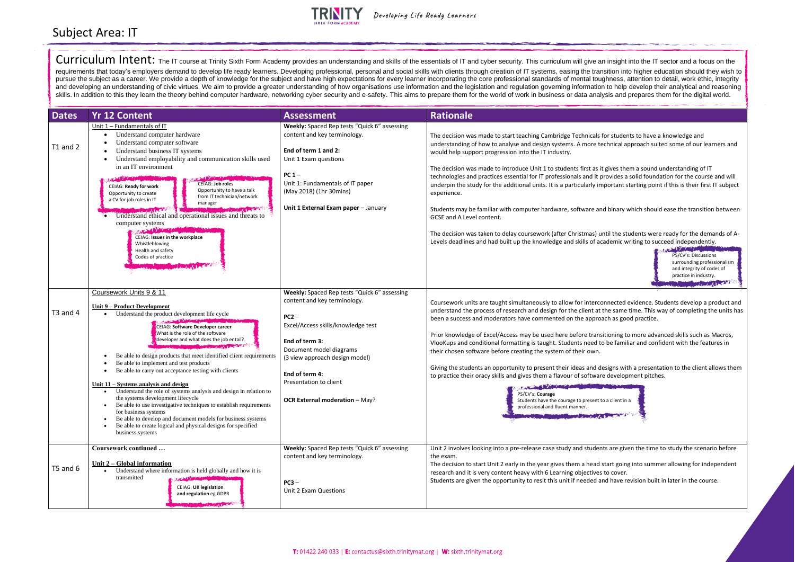

| <b>Dates</b> | <b>Yr 12 Content</b>                                                                                                                                                                                                                                                                                                                                                                                                                                                                                                                                                                                                                                                                                                                                                                                                                                                                                                                 | <b>Assessment</b>                                                                                                                                                                                                                                                                                 | <b>Rationale</b>                                                                                                                                                                                                                                                                                                                                                                                                                                                                                                                                                                                                                                         |
|--------------|--------------------------------------------------------------------------------------------------------------------------------------------------------------------------------------------------------------------------------------------------------------------------------------------------------------------------------------------------------------------------------------------------------------------------------------------------------------------------------------------------------------------------------------------------------------------------------------------------------------------------------------------------------------------------------------------------------------------------------------------------------------------------------------------------------------------------------------------------------------------------------------------------------------------------------------|---------------------------------------------------------------------------------------------------------------------------------------------------------------------------------------------------------------------------------------------------------------------------------------------------|----------------------------------------------------------------------------------------------------------------------------------------------------------------------------------------------------------------------------------------------------------------------------------------------------------------------------------------------------------------------------------------------------------------------------------------------------------------------------------------------------------------------------------------------------------------------------------------------------------------------------------------------------------|
| T1 and 2     | Unit 1 - Fundamentals of IT<br>Understand computer hardware<br>Understand computer software<br>Understand business IT systems<br>Understand employability and communication skills used<br>in an IT environment<br><b>CEIAG: Job roles</b><br><b>CEIAG: Ready for work</b><br>Opportunity to have a talk<br>Opportunity to create<br>from IT technician/network<br>a CV for job roles in IT<br>manager<br><b>REMARKATION</b><br>Understand ethical and operational issues and threats to<br>computer systems<br><b>CONTRACTOR</b><br>CEIAG: Issues in the workplace<br>Whistleblowing<br>Health and safety<br>Codes of practice                                                                                                                                                                                                                                                                                                      | Weekly: Spaced Rep tests "Quick 6" assessing<br>content and key terminology.<br>End of term 1 and 2:<br>Unit 1 Exam questions<br>PC <sub>1</sub><br>Unit 1: Fundamentals of IT paper<br>(May 2018) (1hr 30mins)<br>Unit 1 External Exam paper - January                                           | The decision was made to start teaching Cambridge Technicals<br>understanding of how to analyse and design systems. A more to<br>would help support progression into the IT industry.<br>The decision was made to introduce Unit 1 to students first as i<br>technologies and practices essential for IT professionals and it p<br>underpin the study for the additional units. It is a particularly in<br>experience.<br>Students may be familiar with computer hardware, software ar<br>GCSE and A Level content.<br>The decision was taken to delay coursework (after Christmas) u<br>Levels deadlines and had built up the knowledge and skills of a |
| T3 and 4     | Coursework Units 9 & 11<br>Unit 9 - Product Development<br>Understand the product development life cycle<br>CEIAG: Software Developer career<br>What is the role of the software<br>developer and what does the job entail?<br><b>Committee of the Committee of the Committee of the Committee of the Committee of the Committee of the Committee</b><br>Be able to design products that meet identified client requirements<br>Be able to implement and test products<br>Be able to carry out acceptance testing with clients<br>Unit $11 - S$ ystems analysis and design<br>Understand the role of systems analysis and design in relation to<br>the systems development lifecycle<br>Be able to use investigative techniques to establish requirements<br>for business systems<br>Be able to develop and document models for business systems<br>Be able to create logical and physical designs for specified<br>business systems | Weekly: Spaced Rep tests "Quick 6" assessing<br>content and key terminology.<br>$PC2 -$<br>Excel/Access skills/knowledge test<br>End of term 3:<br>Document model diagrams<br>(3 view approach design model)<br>End of term 4:<br>Presentation to client<br><b>OCR External moderation - May?</b> | Coursework units are taught simultaneously to allow for interco<br>understand the process of research and design for the client at<br>been a success and moderators have commented on the appro<br>Prior knowledge of Excel/Access may be used here before trans<br>VlooKups and conditional formatting is taught. Students need t<br>their chosen software before creating the system of their own.<br>Giving the students an opportunity to present their ideas and d<br>to practice their oracy skills and gives them a flavour of softwar<br>PS/CV's: Courage<br>Students have the courage to present t<br>professional and fluent manner.           |
| T5 and 6     | Coursework continued<br>Unit 2 – Global information<br>Understand where information is held globally and how it is<br>$\bullet$<br>transmitted<br><b>CALL CARRIERS</b><br><b>CEIAG: UK legislation</b><br>and regulation eg GDPR<br><b>Manufacture Promise Processing</b>                                                                                                                                                                                                                                                                                                                                                                                                                                                                                                                                                                                                                                                            | Weekly: Spaced Rep tests "Quick 6" assessing<br>content and key terminology.<br>$PC3 -$<br>Unit 2 Exam Questions                                                                                                                                                                                  | Unit 2 involves looking into a pre-release case study and studer<br>the exam.<br>The decision to start Unit 2 early in the year gives them a head<br>research and it is very content heavy with 6 Learning objectives<br>Students are given the opportunity to resit this unit if needed a                                                                                                                                                                                                                                                                                                                                                               |

## Subject Area: IT

Curriculum Intent: The IT course at Trinity Sixth Form Academy provides an understanding and skills of the essentials of IT and cyber security. This curriculum will give an insight into the IT sector and a focus on the requirements that today's employers demand to develop life ready learners. Developing professional, personal and social skills with clients through creation of IT systems, easing the transition into higher education should pursue the subject as a career. We provide a depth of knowledge for the subject and have high expectations for every learner incorporating the core professional standards of mental toughness, attention to detail, work ethi and developing an understanding of civic virtues. We aim to provide a greater understanding of how organisations use information and the legislation and regulation governing information to help develop their analytical and skills. In addition to this they learn the theory behind computer hardware, networking cyber security and e-safety. This aims to prepare them for the world of work in business or data analysis and prepares them for the dig